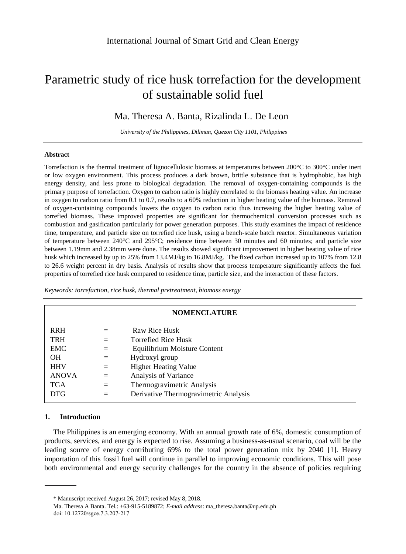# Parametric study of rice husk torrefaction for the development of sustainable solid fuel

## Ma. Theresa A. Banta, Rizalinda L. De Leon

*University of the Philippines, Diliman, Quezon City 1101, Philippines*

#### **Abstract**

Torrefaction is the thermal treatment of lignocellulosic biomass at temperatures between 200  $\mathbb C$  to 300  $\mathbb C$  under inert or low oxygen environment. This process produces a dark brown, brittle substance that is hydrophobic, has high energy density, and less prone to biological degradation. The removal of oxygen-containing compounds is the primary purpose of torrefaction. Oxygen to carbon ratio is highly correlated to the biomass heating value. An increase in oxygen to carbon ratio from 0.1 to 0.7, results to a 60% reduction in higher heating value of the biomass. Removal of oxygen-containing compounds lowers the oxygen to carbon ratio thus increasing the higher heating value of torrefied biomass. These improved properties are significant for thermochemical conversion processes such as combustion and gasification particularly for power generation purposes. This study examines the impact of residence time, temperature, and particle size on torrefied rice husk, using a bench-scale batch reactor. Simultaneous variation of temperature between 240  $\mathbb{C}$  and 295  $\mathbb{C}$ ; residence time between 30 minutes and 60 minutes; and particle size between 1.19mm and 2.38mm were done. The results showed significant improvement in higher heating value of rice husk which increased by up to 25% from 13.4MJ/kg to 16.8MJ/kg. The fixed carbon increased up to 107% from 12.8 to 26.6 weight percent in dry basis. Analysis of results show that process temperature significantly affects the fuel properties of torrefied rice husk compared to residence time, particle size, and the interaction of these factors.

*Keywords: torrefaction, rice husk, thermal pretreatment, biomass energy*

| <b>NOMENCLATURE</b> |     |                                       |  |  |  |  |
|---------------------|-----|---------------------------------------|--|--|--|--|
| <b>RRH</b>          | $=$ | Raw Rice Husk                         |  |  |  |  |
| <b>TRH</b>          | $=$ | <b>Torrefied Rice Husk</b>            |  |  |  |  |
| <b>EMC</b>          | $=$ | Equilibrium Moisture Content          |  |  |  |  |
| <b>OH</b>           | $=$ | Hydroxyl group                        |  |  |  |  |
| <b>HHV</b>          | $=$ | <b>Higher Heating Value</b>           |  |  |  |  |
| <b>ANOVA</b>        | $=$ | Analysis of Variance                  |  |  |  |  |
| <b>TGA</b>          | $=$ | Thermogravimetric Analysis            |  |  |  |  |
| <b>DTG</b>          | $=$ | Derivative Thermogravimetric Analysis |  |  |  |  |

## **1. Introduction**

The Philippines is an emerging economy. With an annual growth rate of 6%, domestic consumption of products, services, and energy is expected to rise. Assuming a business-as-usual scenario, coal will be the leading source of energy contributing 69% to the total power generation mix by 2040 [1]. Heavy importation of this fossil fuel will continue in parallel to improving economic conditions. This will pose both environmental and energy security challenges for the country in the absence of policies requiring

<sup>\*</sup> Manuscript received August 26, 2017; revised May 8, 2018.

Ma. Theresa A Banta. Tel.: +63-915-5189872; *E-mail address*: [ma\\_theresa.banta@up.edu.ph](mailto:ma_theresa.banta@up.edu.ph) doi: 10.12720/sgce.7.3.207-217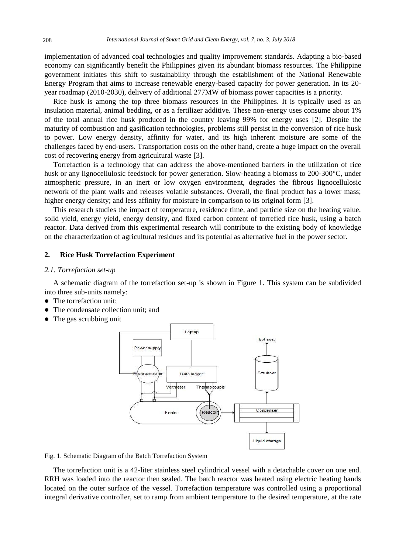implementation of advanced coal technologies and quality improvement standards. Adapting a bio-based economy can significantly benefit the Philippines given its abundant biomass resources. The Philippine government initiates this shift to sustainability through the establishment of the National Renewable Energy Program that aims to increase renewable energy-based capacity for power generation. In its 20 year roadmap (2010-2030), delivery of additional 277MW of biomass power capacities is a priority.

Rice husk is among the top three biomass resources in the Philippines. It is typically used as an insulation material, animal bedding, or as a fertilizer additive. These non-energy uses consume about 1% of the total annual rice husk produced in the country leaving 99% for energy uses [2]. Despite the maturity of combustion and gasification technologies, problems still persist in the conversion of rice husk to power. Low energy density, affinity for water, and its high inherent moisture are some of the challenges faced by end-users. Transportation costs on the other hand, create a huge impact on the overall cost of recovering energy from agricultural waste [3].

Torrefaction is a technology that can address the above-mentioned barriers in the utilization of rice husk or any lignocellulosic feedstock for power generation. Slow-heating a biomass to 200-300 °C, under atmospheric pressure, in an inert or low oxygen environment, degrades the fibrous lignocellulosic network of the plant walls and releases volatile substances. Overall, the final product has a lower mass; higher energy density; and less affinity for moisture in comparison to its original form [3].

This research studies the impact of temperature, residence time, and particle size on the heating value, solid yield, energy yield, energy density, and fixed carbon content of torrefied rice husk, using a batch reactor. Data derived from this experimental research will contribute to the existing body of knowledge on the characterization of agricultural residues and its potential as alternative fuel in the power sector.

## **2. Rice Husk Torrefaction Experiment**

#### *2.1. Torrefaction set-up*

A schematic diagram of the torrefaction set-up is shown in Figure 1. This system can be subdivided into three sub-units namely:

- The torrefaction unit:
- The condensate collection unit; and
- The gas scrubbing unit



Fig. 1. Schematic Diagram of the Batch Torrefaction System

The torrefaction unit is a 42-liter stainless steel cylindrical vessel with a detachable cover on one end. RRH was loaded into the reactor then sealed. The batch reactor was heated using electric heating bands located on the outer surface of the vessel. Torrefaction temperature was controlled using a proportional integral derivative controller, set to ramp from ambient temperature to the desired temperature, at the rate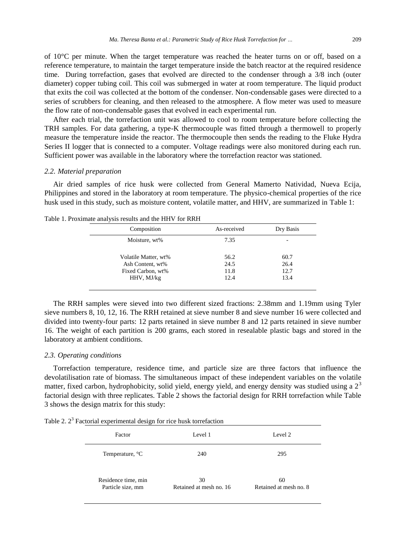of 10 $\degree$ C per minute. When the target temperature was reached the heater turns on or off, based on a reference temperature, to maintain the target temperature inside the batch reactor at the required residence time. During torrefaction, gases that evolved are directed to the condenser through a 3/8 inch (outer diameter) copper tubing coil. This coil was submerged in water at room temperature. The liquid product that exits the coil was collected at the bottom of the condenser. Non-condensable gases were directed to a series of scrubbers for cleaning, and then released to the atmosphere. A flow meter was used to measure the flow rate of non-condensable gases that evolved in each experimental run.

After each trial, the torrefaction unit was allowed to cool to room temperature before collecting the TRH samples. For data gathering, a type-K thermocouple was fitted through a thermowell to properly measure the temperature inside the reactor. The thermocouple then sends the reading to the Fluke Hydra Series II logger that is connected to a computer. Voltage readings were also monitored during each run. Sufficient power was available in the laboratory where the torrefaction reactor was stationed.

## *2.2. Material preparation*

Air dried samples of rice husk were collected from General Mamerto Natividad, Nueva Ecija, Philippines and stored in the laboratory at room temperature. The physico-chemical properties of the rice husk used in this study, such as moisture content, volatile matter, and HHV, are summarized in Table 1:

| Composition          | As-received | Dry Basis |
|----------------------|-------------|-----------|
| Moisture, wt%        | 7.35        |           |
| Volatile Matter, wt% | 56.2        | 60.7      |
| Ash Content, wt%     | 24.5        | 26.4      |
| Fixed Carbon, wt%    | 11.8        | 12.7      |
| HHV, MJ/kg           | 12.4        | 13.4      |
|                      |             |           |

Table 1. Proximate analysis results and the HHV for RRH

The RRH samples were sieved into two different sized fractions: 2.38mm and 1.19mm using Tyler sieve numbers 8, 10, 12, 16. The RRH retained at sieve number 8 and sieve number 16 were collected and divided into twenty-four parts: 12 parts retained in sieve number 8 and 12 parts retained in sieve number 16. The weight of each partition is 200 grams, each stored in resealable plastic bags and stored in the laboratory at ambient conditions.

### *2.3. Operating conditions*

Torrefaction temperature, residence time, and particle size are three factors that influence the devolatilisation rate of biomass. The simultaneous impact of these independent variables on the volatile matter, fixed carbon, hydrophobicity, solid yield, energy yield, and energy density was studied using a  $2<sup>3</sup>$ factorial design with three replicates. Table 2 shows the factorial design for RRH torrefaction while Table 3 shows the design matrix for this study:

Table 2.  $2<sup>3</sup>$  Factorial experimental design for rice husk torrefaction

| Factor              | Level 1                 | Level 2                |  |  |
|---------------------|-------------------------|------------------------|--|--|
| Temperature, C      | 240                     | 295                    |  |  |
| Residence time, min | 30                      | 60                     |  |  |
| Particle size, mm   | Retained at mesh no. 16 | Retained at mesh no. 8 |  |  |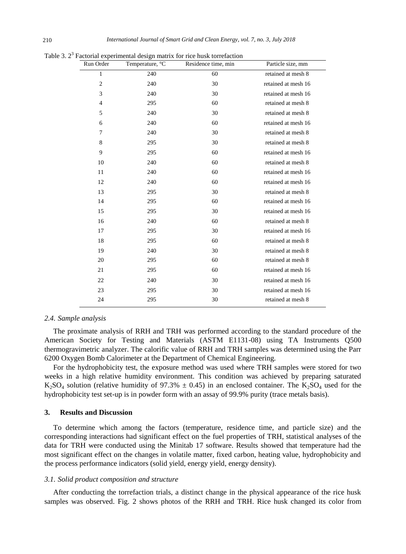| Run Order        | Temperature, C | Residence time, min | Particle size, mm   |
|------------------|----------------|---------------------|---------------------|
| $\mathbf{1}$     | 240            | 60                  | retained at mesh 8  |
| $\boldsymbol{2}$ | 240            | 30                  | retained at mesh 16 |
| 3                | 240            | 30                  | retained at mesh 16 |
| 4                | 295            | 60                  | retained at mesh 8  |
| 5                | 240            | 30                  | retained at mesh 8  |
| 6                | 240            | 60                  | retained at mesh 16 |
| 7                | 240            | 30                  | retained at mesh 8  |
| 8                | 295            | 30                  | retained at mesh 8  |
| 9                | 295            | 60                  | retained at mesh 16 |
| 10               | 240            | 60                  | retained at mesh 8  |
| 11               | 240            | 60                  | retained at mesh 16 |
| 12               | 240            | 60                  | retained at mesh 16 |
| 13               | 295            | 30                  | retained at mesh 8  |
| 14               | 295            | 60                  | retained at mesh 16 |
| 15               | 295            | 30                  | retained at mesh 16 |
| 16               | 240            | 60                  | retained at mesh 8  |
| 17               | 295            | 30                  | retained at mesh 16 |
| 18               | 295            | 60                  | retained at mesh 8  |
| 19               | 240            | 30                  | retained at mesh 8  |
| 20               | 295            | 60                  | retained at mesh 8  |
| 21               | 295            | 60                  | retained at mesh 16 |
| 22               | 240            | 30                  | retained at mesh 16 |
| 23               | 295            | 30                  | retained at mesh 16 |
| 24               | 295            | 30                  | retained at mesh 8  |

Table 3.  $2<sup>3</sup>$  Factorial experimental design matrix for rice husk torrefaction

#### *2.4. Sample analysis*

The proximate analysis of RRH and TRH was performed according to the standard procedure of the American Society for Testing and Materials (ASTM E1131-08) using TA Instruments Q500 thermogravimetric analyzer. The calorific value of RRH and TRH samples was determined using the Parr 6200 Oxygen Bomb Calorimeter at the Department of Chemical Engineering.

For the hydrophobicity test, the exposure method was used where TRH samples were stored for two weeks in a high relative humidity environment. This condition was achieved by preparing saturated K<sub>2</sub>SO<sub>4</sub> solution (relative humidity of 97.3%  $\pm$  0.45) in an enclosed container. The K<sub>2</sub>SO<sub>4</sub> used for the hydrophobicity test set-up is in powder form with an assay of 99.9% purity (trace metals basis).

## **3. Results and Discussion**

To determine which among the factors (temperature, residence time, and particle size) and the corresponding interactions had significant effect on the fuel properties of TRH, statistical analyses of the data for TRH were conducted using the Minitab 17 software. Results showed that temperature had the most significant effect on the changes in volatile matter, fixed carbon, heating value, hydrophobicity and the process performance indicators (solid yield, energy yield, energy density).

#### *3.1. Solid product composition and structure*

After conducting the torrefaction trials, a distinct change in the physical appearance of the rice husk samples was observed. Fig. 2 shows photos of the RRH and TRH. Rice husk changed its color from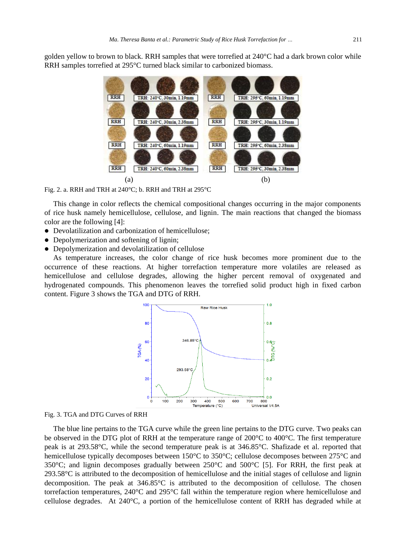golden yellow to brown to black. RRH samples that were torrefied at 240  $\mathbb C$  had a dark brown color while RRH samples torrefied at 295 °C turned black similar to carbonized biomass.



Fig. 2. a. RRH and TRH at 240 °C; b. RRH and TRH at 295 °C

This change in color reflects the chemical compositional changes occurring in the major components of rice husk namely hemicellulose, cellulose, and lignin. The main reactions that changed the biomass color are the following [4]:

- Devolatilization and carbonization of hemicellulose;
- Depolymerization and softening of lignin;
- Depolymerization and devolatilization of cellulose

As temperature increases, the color change of rice husk becomes more prominent due to the occurrence of these reactions. At higher torrefaction temperature more volatiles are released as hemicellulose and cellulose degrades, allowing the higher percent removal of oxygenated and hydrogenated compounds. This phenomenon leaves the torrefied solid product high in fixed carbon content. Figure 3 shows the TGA and DTG of RRH.



Fig. 3. TGA and DTG Curves of RRH

The blue line pertains to the TGA curve while the green line pertains to the DTG curve. Two peaks can be observed in the DTG plot of RRH at the temperature range of 200  $\mathbb C$  to 400  $\mathbb C$ . The first temperature peak is at 293.58°C, while the second temperature peak is at 346.85°C. Shafizade et al. reported that hemicellulose typically decomposes between 150  $\mathbb C$  to 350  $\mathbb C$ ; cellulose decomposes between 275  $\mathbb C$  and 350°C; and lignin decomposes gradually between 250°C and 500°C [5]. For RRH, the first peak at 293.58  $\mathbb C$  is attributed to the decomposition of hemicellulose and the initial stages of cellulose and lignin decomposition. The peak at  $346.85 \text{ }^{\circ}$  is attributed to the decomposition of cellulose. The chosen torrefaction temperatures, 240  $\mathcal{C}$  and 295  $\mathcal{C}$  fall within the temperature region where hemicellulose and cellulose degrades. At 240°C, a portion of the hemicellulose content of RRH has degraded while at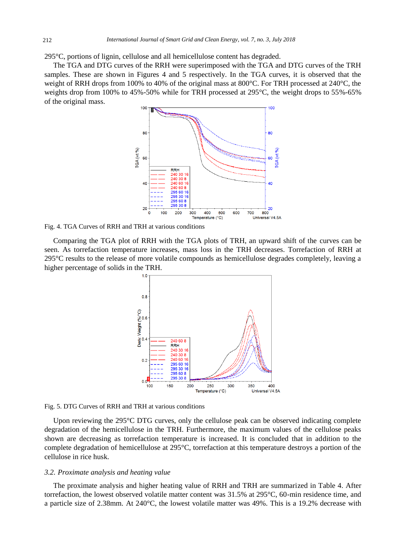295 $\mathcal{C}$ , portions of lignin, cellulose and all hemicellulose content has degraded.

The TGA and DTG curves of the RRH were superimposed with the TGA and DTG curves of the TRH samples. These are shown in Figures 4 and 5 respectively. In the TGA curves, it is observed that the weight of RRH drops from 100% to 40% of the original mass at 800 °C. For TRH processed at 240 °C, the weights drop from 100% to 45%-50% while for TRH processed at 295 °C, the weight drops to 55%-65% of the original mass.



Fig. 4. TGA Curves of RRH and TRH at various conditions

Comparing the TGA plot of RRH with the TGA plots of TRH, an upward shift of the curves can be seen. As torrefaction temperature increases, mass loss in the TRH decreases. Torrefaction of RRH at 295°C results to the release of more volatile compounds as hemicellulose degrades completely, leaving a higher percentage of solids in the TRH.



Fig. 5. DTG Curves of RRH and TRH at various conditions

Upon reviewing the 295  $\mathbb{C}$  DTG curves, only the cellulose peak can be observed indicating complete degradation of the hemicellulose in the TRH. Furthermore, the maximum values of the cellulose peaks shown are decreasing as torrefaction temperature is increased. It is concluded that in addition to the complete degradation of hemicellulose at 295°C, torrefaction at this temperature destroys a portion of the cellulose in rice husk.

#### *3.2. Proximate analysis and heating value*

The proximate analysis and higher heating value of RRH and TRH are summarized in Table 4. After torrefaction, the lowest observed volatile matter content was  $31.5\%$  at 295 °C, 60-min residence time, and a particle size of 2.38mm. At 240°C, the lowest volatile matter was 49%. This is a 19.2% decrease with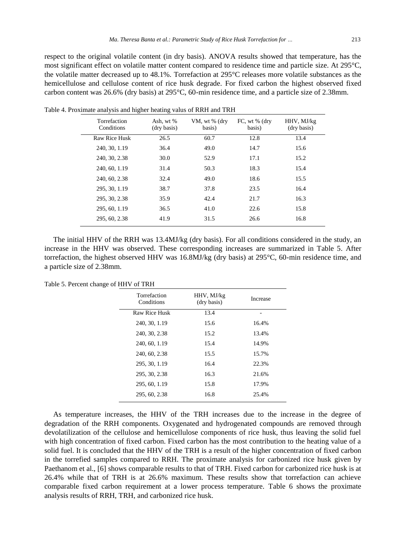respect to the original volatile content (in dry basis). ANOVA results showed that temperature, has the most significant effect on volatile matter content compared to residence time and particle size. At 295 °C, the volatile matter decreased up to  $48.1\%$ . Torrefaction at 295 °C releases more volatile substances as the hemicellulose and cellulose content of rice husk degrade. For fixed carbon the highest observed fixed carbon content was 26.6% (dry basis) at 295°C, 60-min residence time, and a particle size of 2.38mm.

| Torrefaction<br>Conditions | Ash, wt %<br>(dry basis) | VM, wt % (dry<br>basis) | FC, wt % (dry<br>basis) | HHV, MJ/kg<br>(dry basis) |
|----------------------------|--------------------------|-------------------------|-------------------------|---------------------------|
| <b>Raw Rice Husk</b>       | 26.5                     | 60.7                    | 12.8                    | 13.4                      |
| 240, 30, 1.19              | 36.4                     | 49.0                    | 14.7                    | 15.6                      |
| 240, 30, 2.38              | 30.0                     | 52.9                    | 17.1                    | 15.2                      |
| 240, 60, 1.19              | 31.4                     | 50.3                    | 18.3                    | 15.4                      |
| 240, 60, 2.38              | 32.4                     | 49.0                    | 18.6                    | 15.5                      |
| 295, 30, 1.19              | 38.7                     | 37.8                    | 23.5                    | 16.4                      |
| 295, 30, 2.38              | 35.9                     | 42.4                    | 21.7                    | 16.3                      |
| 295, 60, 1.19              | 36.5                     | 41.0                    | 22.6                    | 15.8                      |
| 295, 60, 2.38              | 41.9                     | 31.5                    | 26.6                    | 16.8                      |

Table 4. Proximate analysis and higher heating valus of RRH and TRH

The initial HHV of the RRH was 13.4MJ/kg (dry basis). For all conditions considered in the study, an increase in the HHV was observed. These corresponding increases are summarized in Table 5. After torrefaction, the highest observed HHV was 16.8MJ/kg (dry basis) at 295°C, 60-min residence time, and a particle size of 2.38mm.

| Torrefaction<br>Conditions | HHV, MJ/kg<br>(dry basis) | Increase |  |  |
|----------------------------|---------------------------|----------|--|--|
| <b>Raw Rice Husk</b>       | 13.4                      |          |  |  |
| 240, 30, 1.19              | 15.6                      | 16.4%    |  |  |
| 240, 30, 2.38              | 15.2                      | 13.4%    |  |  |
| 240, 60, 1.19              | 15.4                      | 14.9%    |  |  |
| 240, 60, 2.38              | 15.5                      | 15.7%    |  |  |
| 295, 30, 1.19              | 16.4                      | 22.3%    |  |  |
| 295, 30, 2.38              | 16.3                      | 21.6%    |  |  |
| 295, 60, 1.19              | 15.8                      | 17.9%    |  |  |
| 295, 60, 2.38              | 16.8                      | 25.4%    |  |  |
|                            |                           |          |  |  |

Table 5. Percent change of HHV of TRH

As temperature increases, the HHV of the TRH increases due to the increase in the degree of degradation of the RRH components. Oxygenated and hydrogenated compounds are removed through devolatilization of the cellulose and hemicellulose components of rice husk, thus leaving the solid fuel with high concentration of fixed carbon. Fixed carbon has the most contribution to the heating value of a solid fuel. It is concluded that the HHV of the TRH is a result of the higher concentration of fixed carbon in the torrefied samples compared to RRH. The proximate analysis for carbonized rice husk given by Paethanom et al., [6] shows comparable results to that of TRH. Fixed carbon for carbonized rice husk is at 26.4% while that of TRH is at 26.6% maximum. These results show that torrefaction can achieve comparable fixed carbon requirement at a lower process temperature. Table 6 shows the proximate analysis results of RRH, TRH, and carbonized rice husk.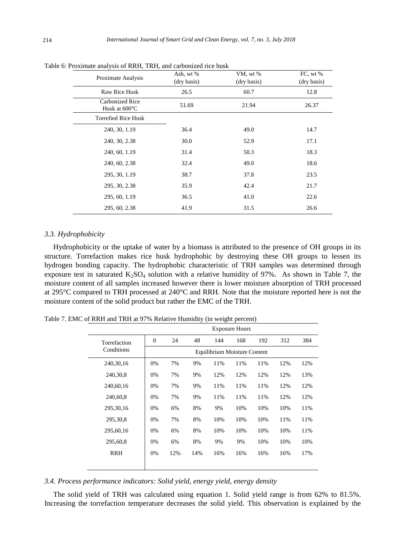| Proximate Analysis                      | Ash, wt %   | VM, wt %    | FC, wt %    |
|-----------------------------------------|-------------|-------------|-------------|
|                                         | (dry basis) | (dry basis) | (dry basis) |
| <b>Raw Rice Husk</b>                    | 26.5        | 60.7        | 12.8        |
| <b>Carbonized Rice</b><br>Husk at 600°C | 51.69       | 21.94       | 26.37       |
| <b>Torrefied Rice Husk</b>              |             |             |             |
| 240, 30, 1.19                           | 36.4        | 49.0        | 14.7        |
| 240, 30, 2.38                           | 30.0        | 52.9        | 17.1        |
| 240, 60, 1.19                           | 31.4        | 50.3        | 18.3        |
| 240, 60, 2.38                           | 32.4        | 49.0        | 18.6        |
| 295, 30, 1.19                           | 38.7        | 37.8        | 23.5        |
| 295, 30, 2.38                           | 35.9        | 42.4        | 21.7        |
| 295, 60, 1.19                           | 36.5        | 41.0        | 22.6        |
| 295, 60, 2.38                           | 41.9        | 31.5        | 26.6        |

Table 6: Proximate analysis of RRH, TRH, and carbonized rice husk

#### *3.3. Hydrophobicity*

Hydrophobicity or the uptake of water by a biomass is attributed to the presence of OH groups in its structure. Torrefaction makes rice husk hydrophobic by destroying these OH groups to lessen its hydrogen bonding capacity. The hydrophobic characteristic of TRH samples was determined through exposure test in saturated  $K_2SO_4$  solution with a relative humidity of 97%. As shown in Table 7, the moisture content of all samples increased however there is lower moisture absorption of TRH processed at 295  $\mathbb C$  compared to TRH processed at 240  $\mathbb C$  and RRH. Note that the moisture reported here is not the moisture content of the solid product but rather the EMC of the TRH.

Table 7. EMC of RRH and TRH at 97% Relative Humidity (in weight percent)

|              | <b>Exposure Hours</b>        |     |     |     |     |     |     |     |  |  |
|--------------|------------------------------|-----|-----|-----|-----|-----|-----|-----|--|--|
| Torrefaction | $\overline{0}$               | 24  | 48  | 144 | 168 | 192 | 312 | 384 |  |  |
| Conditions   | Equilibrium Moisture Content |     |     |     |     |     |     |     |  |  |
| 240, 30, 16  | 0%                           | 7%  | 9%  | 11% | 11% | 11% | 12% | 12% |  |  |
| 240, 30, 8   | 0%                           | 7%  | 9%  | 12% | 12% | 12% | 12% | 13% |  |  |
| 240,60,16    | 0%                           | 7%  | 9%  | 11% | 11% | 11% | 12% | 12% |  |  |
| 240,60,8     | 0%                           | 7%  | 9%  | 11% | 11% | 11% | 12% | 12% |  |  |
| 295, 30, 16  | 0%                           | 6%  | 8%  | 9%  | 10% | 10% | 10% | 11% |  |  |
| 295, 30, 8   | 0%                           | 7%  | 8%  | 10% | 10% | 10% | 11% | 11% |  |  |
| 295,60,16    | 0%                           | 6%  | 8%  | 10% | 10% | 10% | 10% | 11% |  |  |
| 295,60,8     | 0%                           | 6%  | 8%  | 9%  | 9%  | 10% | 10% | 10% |  |  |
| <b>RRH</b>   | 0%                           | 12% | 14% | 16% | 16% | 16% | 16% | 17% |  |  |
|              |                              |     |     |     |     |     |     |     |  |  |
|              |                              |     |     |     |     |     |     |     |  |  |

*3.4. Process performance indicators: Solid yield, energy yield, energy density* 

The solid yield of TRH was calculated using equation 1. Solid yield range is from 62% to 81.5%. Increasing the torrefaction temperature decreases the solid yield. This observation is explained by the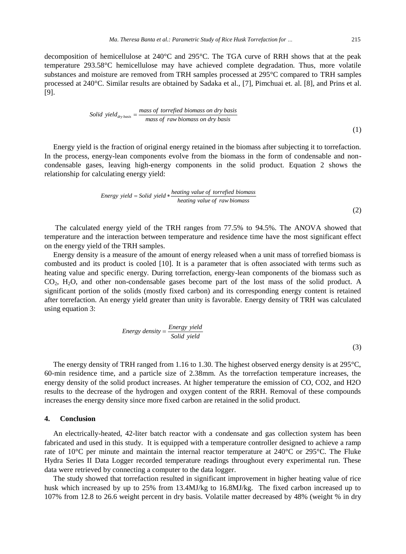decomposition of hemicellulose at 240  $\mathbb C$  and 295  $\mathbb C$ . The TGA curve of RRH shows that at the peak temperature 293.58°C hemicellulose may have achieved complete degradation. Thus, more volatile substances and moisture are removed from TRH samples processed at  $295 \, \text{°C}$  compared to TRH samples processed at 240°C. Similar results are obtained by Sadaka et al., [7], Pimchuai et. al. [8], and Prins et al. [9].

Solid yield 
$$
_{\text{dry basis}} = \frac{\text{mass of torrefied biomass on dry basis}}{\text{mass of raw biomass on dry basis}}
$$

\n(1)

Energy yield is the fraction of original energy retained in the biomass after subjecting it to torrefaction. In the process, energy-lean components evolve from the biomass in the form of condensable and noncondensable gases, leaving high-energy components in the solid product. Equation 2 shows the relationship for calculating energy yield:

Energy yield = Solid yield 
$$
\ast \frac{heating value of to rrefied biomass}{heating value of raw biomass}
$$
 (2)

The calculated energy yield of the TRH ranges from 77.5% to 94.5%. The ANOVA showed that temperature and the interaction between temperature and residence time have the most significant effect on the energy yield of the TRH samples.

Energy density is a measure of the amount of energy released when a unit mass of torrefied biomass is combusted and its product is cooled [10]. It is a parameter that is often associated with terms such as heating value and specific energy. During torrefaction, energy-lean components of the biomass such as CO<sub>2</sub>, H<sub>2</sub>O, and other non-condensable gases become part of the lost mass of the solid product. A significant portion of the solids (mostly fixed carbon) and its corresponding energy content is retained after torrefaction. An energy yield greater than unity is favorable. Energy density of TRH was calculated using equation 3:

Energy density = 
$$
\frac{Energy \ yield}{Solid \ yield}
$$
 (3)

The energy density of TRH ranged from 1.16 to 1.30. The highest observed energy density is at 295°C, 60-min residence time, and a particle size of 2.38mm. As the torrefaction temperature increases, the energy density of the solid product increases. At higher temperature the emission of CO, CO2, and H2O results to the decrease of the hydrogen and oxygen content of the RRH. Removal of these compounds increases the energy density since more fixed carbon are retained in the solid product.

## **4. Conclusion**

An electrically-heated, 42-liter batch reactor with a condensate and gas collection system has been fabricated and used in this study. It is equipped with a temperature controller designed to achieve a ramp rate of 10  $\degree$  per minute and maintain the internal reactor temperature at 240  $\degree$  or 295  $\degree$ C. The Fluke Hydra Series II Data Logger recorded temperature readings throughout every experimental run. These data were retrieved by connecting a computer to the data logger.

The study showed that torrefaction resulted in significant improvement in higher heating value of rice husk which increased by up to 25% from 13.4MJ/kg to 16.8MJ/kg. The fixed carbon increased up to 107% from 12.8 to 26.6 weight percent in dry basis. Volatile matter decreased by 48% (weight % in dry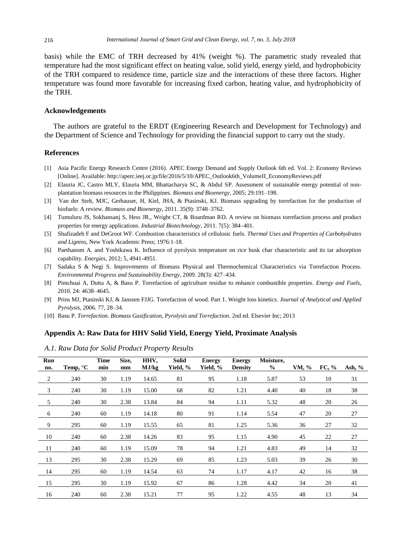basis) while the EMC of TRH decreased by 41% (weight %). The parametric study revealed that temperature had the most significant effect on heating value, solid yield, energy yield, and hydrophobicity of the TRH compared to residence time, particle size and the interactions of these three factors. Higher temperature was found more favorable for increasing fixed carbon, heating value, and hydrophobicity of the TRH.

## **Acknowledgements**

The authors are grateful to the ERDT (Engineering Research and Development for Technology) and the Department of Science and Technology for providing the financial support to carry out the study.

#### **References**

- [1] Asia Pacific Energy Research Centre (2016). APEC Energy Demand and Supply Outlook 6th ed. Vol. 2: Economy Reviews [Online]. Available: [http://aperc.ieej.or.jp/file/2016/5/10/APEC\\_Outlook6th\\_VolumeII\\_EconomyReviews.pdf](http://aperc.ieej.or.jp/file/2016/5/10/APEC_Outlook6th_VolumeII_EconomyReviews.pdf)
- [2] Elauria JC, Castro MLY, Elauria MM, Bhattacharya SC, & Abdul SP. Assessment of sustainable energy potential of nonplantation biomass resources in the Philippines. *Biomass and Bioenergy*, 2005; 29:191–198.
- [3] Van der Stelt, MJC, Gerhauser, H, Kiel, JHA, & Ptasinski, KJ. Biomass upgrading by torrefaction for the production of biofuels: A review. *Biomass and Bioenergy*, 2011. 35(9): 3748–3762.
- [4] Tumuluru JS, Sokhansanj S, Hess JR., Wright CT, & Boardman RD. A review on biomass torrefaction process and product properties for energy applications. *Industrial Biotechnology*, 2011. 7(5): 384–401.
- [5] Shafizadeh F and DeGroot WF. Combustion characteristics of cellulosic fuels. *Thermal Uses and Properties of Carbohydrates and Lignins*, New York Academic Press; 1976:1-18.
- [6] Paethanom A. and Yoshikawa K. Influence of pyrolysis temperature on rice husk char characteristic and its tar adsorption capability. *Energies*, 2012; 5, 4941-4951.
- [7] Sadaka S & Negi S. Improvements of Biomass Physical and Thermochemical Characteristics via Torrefaction Process. *Environmental Progress and Sustainability Energy*, 2009. 28(3): 427–434.
- [8] Pimchuai A, Dutta A, & Basu P. Torrefaction of agriculture residue to enhance combustible properties. *Energy and Fuels*, 2010. 24: 4638–4645.
- [9] Prins MJ, Ptasinski KJ, & Janssen FJJG. Torrefaction of wood. Part 1. Weight loss kinetics. *Journal of Analytical and Applied Pyrolysis*, 2006. 77, 28–34.
- [10] Basu P. *Torrefaction. Biomass Gasification, Pyrolysis and Torrefaction*. 2nd ed. Elsevier Inc; 2013

## **Appendix A: Raw Data for HHV Solid Yield, Energy Yield, Proximate Analysis**

*A.1. Raw Data for Solid Product Property Results*

| <b>Run</b><br>no.        | Temp, $\mathcal C$ | Time<br>min | Size,<br>mm | HHV,<br>MJ/kg | Solid<br>Yield, % | <b>Energy</b><br>Yield, % | <b>Energy</b><br><b>Density</b> | Moisture,<br>$\frac{6}{6}$ | VM, % | FC, % | Ash, $%$ |
|--------------------------|--------------------|-------------|-------------|---------------|-------------------|---------------------------|---------------------------------|----------------------------|-------|-------|----------|
| $\overline{\phantom{a}}$ | 240                | 30          | 1.19        | 14.65         | 81                | 95                        | 1.18                            | 5.87                       | 53    | 10    | 31       |
| 3                        | 240                | 30          | 1.19        | 15.00         | 68                | 82                        | 1.21                            | 4.40                       | 40    | 18    | 38       |
| $5\overline{)}$          | 240                | 30          | 2.38        | 13.84         | 84                | 94                        | 1.11                            | 5.32                       | 48    | 20    | 26       |
| $6\overline{6}$          | 240                | 60          | 1.19        | 14.18         | 80                | 91                        | 1.14                            | 5.54                       | 47    | 20    | 27       |
| 9                        | 295                | 60          | 1.19        | 15.55         | 65                | 81                        | 1.25                            | 5.36                       | 36    | 27    | 32       |
| - 10                     | 240                | 60          | 2.38        | 14.26         | 83                | 95                        | 1.15                            | 4.90                       | 45    | 22    | 27       |
| 11                       | 240                | 60          | 1.19        | 15.09         | 78                | 94                        | 1.21                            | 4.83                       | 49    | 14    | 32       |
| 13                       | 295                | 30          | 2.38        | 15.29         | 69                | 85                        | 1.23                            | 5.03                       | 39    | 26    | 30       |
| 14                       | 295                | 60          | 1.19        | 14.54         | 63                | 74                        | 1.17                            | 4.17                       | 42    | 16    | 38       |
| 15                       | 295                | 30          | 1.19        | 15.92         | 67                | 86                        | 1.28                            | 4.42                       | 34    | 20    | 41       |
| 16                       | 240                | 60          | 2.38        | 15.21         | 77                | 95                        | 1.22                            | 4.55                       | 48    | 13    | 34       |